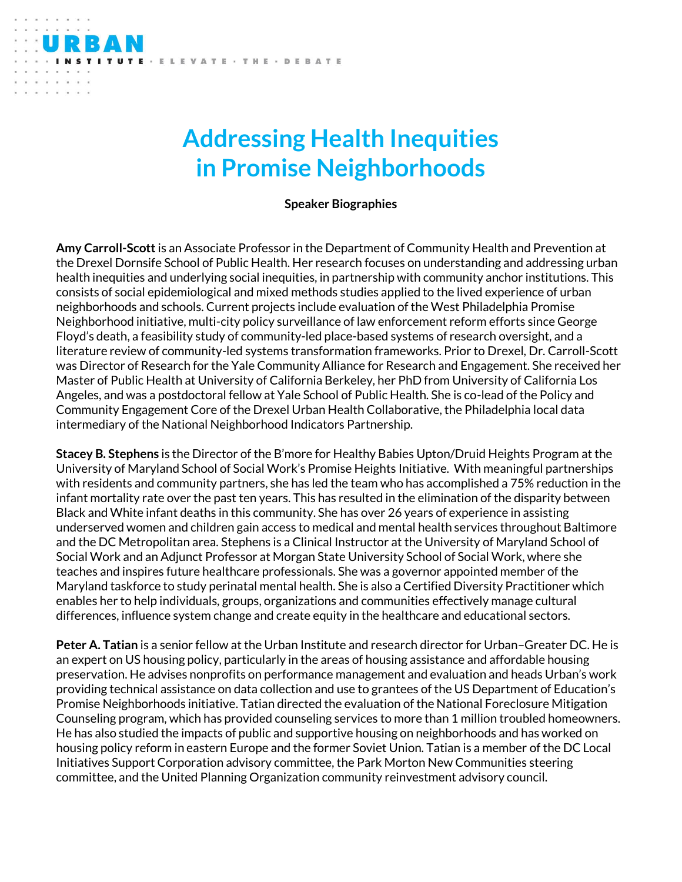## **Addressing Health Inequities in Promise Neighborhoods**

ELEVATE · THE · DEBATE

**Speaker Biographies**

**Amy Carroll-Scott**is an Associate Professor in the Department of Community Health and Prevention at the Drexel Dornsife School of Public Health. Her research focuses on understanding and addressing urban health inequities and underlying social inequities, in partnership with community anchor institutions. This consists of social epidemiological and mixed methods studies applied to the lived experience of urban neighborhoods and schools. Current projects include evaluation of the West Philadelphia Promise Neighborhood initiative, multi-city policy surveillance of law enforcement reform efforts since George Floyd's death, a feasibility study of community-led place-based systems of research oversight, and a literature review of community-led systems transformation frameworks. Prior to Drexel, Dr. Carroll-Scott was Director of Research for the Yale Community Alliance for Research and Engagement. She received her Master of Public Health at University of California Berkeley, her PhD from University of California Los Angeles, and was a postdoctoral fellow at Yale School of Public Health. She is co-lead of the Policy and Community Engagement Core of the Drexel Urban Health Collaborative, the Philadelphia local data intermediary of the National Neighborhood Indicators Partnership.

**Stacey B. Stephens** is the Director of the B'more for Healthy Babies Upton/Druid Heights Program at the University of Maryland School of Social Work's Promise Heights Initiative. With meaningful partnerships with residents and community partners, she has led the team who has accomplished a 75% reduction in the infant mortality rate over the past ten years. This has resulted in the elimination of the disparity between Black and White infant deaths in this community. She has over 26 years of experience in assisting underserved women and children gain access to medical and mental health services throughout Baltimore and the DC Metropolitan area. Stephens is a Clinical Instructor at the University of Maryland School of Social Work and an Adjunct Professor at Morgan State University School of Social Work, where she teaches and inspires future healthcare professionals. She was a governor appointed member of the Maryland taskforce to study perinatal mental health. She is also a Certified Diversity Practitioner which enables her to help individuals, groups, organizations and communities effectively manage cultural differences, influence system change and create equity in the healthcare and educational sectors.

**Peter A. Tatian** is a senior fellow at the Urban Institute and research director for Urban–Greater DC. He is an expert on US housing policy, particularly in the areas of housing assistance and affordable housing preservation. He advises nonprofits on performance management and evaluation and heads Urban's work providing technical assistance on data collection and use to grantees of the US Department of Education's Promise Neighborhoods initiative. Tatian directed the evaluation of the National Foreclosure Mitigation Counseling program, which has provided counseling services to more than 1 million troubled homeowners. He has also studied the impacts of public and supportive housing on neighborhoods and has worked on housing policy reform in eastern Europe and the former Soviet Union. Tatian is a member of the DC Local Initiatives Support Corporation advisory committee, the Park Morton New Communities steering committee, and the United Planning Organization community reinvestment advisory council.